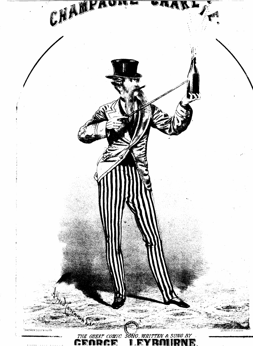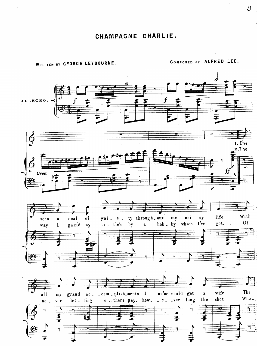WRITTEN BY GEORGE LEYBOURNE.

COMPOSED BY ALFRED LEE.

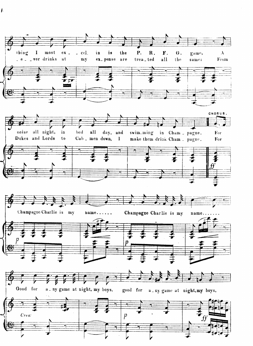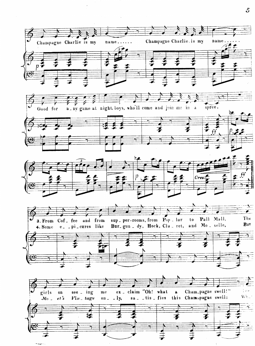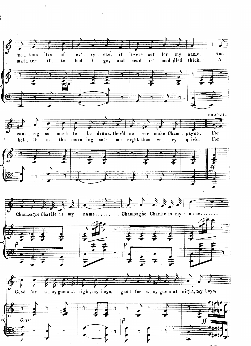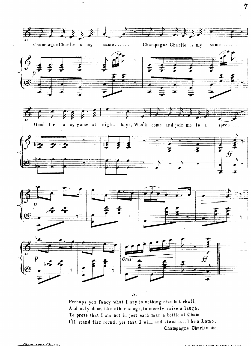

Perhaps you fancy what I say is nothing else but chaff, And only done, like other songs, to merely raise a laugh; To prove that I am not in jest each man a bottle of Cham I'll stand fizz round yes that I will, and stand it., like a Lamb. Champagne Charlie &c.

 $\overline{7}$